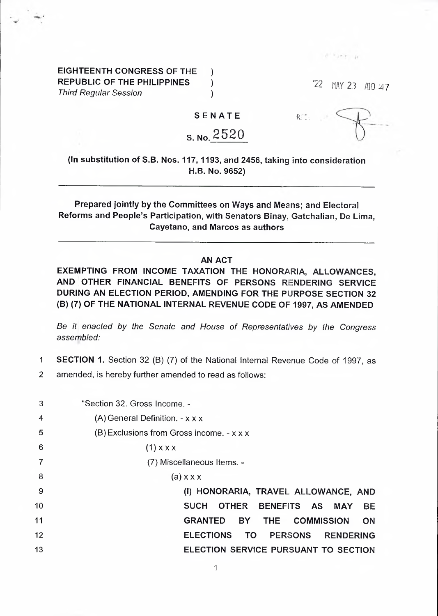**EIGHTEENTH CONGRESS OF THE ) REPUBLIC OF THE PHILIPPINES )** *Third Regular Session )*

'22 HAY 23 AlO :47

di hyele

**SENATE**

## S. No. 2520

ur:.

**(In substitution of S.B. Nos. 117,1193, and 2456, taking into consideration** H.B. No. 9652)

**Prepared jointly by the Committees on Ways and Means; and Electoral Reforms and People's Participation, with Senators Binay, Gatchalian, De Lima, Cayetano, and Marcos as authors**

## **AN ACT**

**EXEMPTING FROM INCOME TAXATION THE HONORARIA, ALLOWANCES, AND OTHER FINANCIAL BENEFITS OF PERSONS RENDERING SERVICE DURING AN ELECTION PERIOD, AMENDING FOR THE PURPOSE SECTION 32 (B) (7) OF THE NATIONAL INTERNAL REVENUE CODE OF 1997, AS AMENDED**

*Be it enacted by the Senate and House of Representatives by the Congress assembled:*

- **<sup>1</sup> SECTION 1.** Section 32 (B) (7) of the National Internal Revenue Code of 1997, as
- 2 amended, is hereby further amended to read as follows:

| 3  | "Section 32. Gross Income. -                                        |
|----|---------------------------------------------------------------------|
| 4  | $(A)$ General Definition. $-x \times x$                             |
| 5  | $(B)$ Exclusions from Gross income. - x x x                         |
| 6  | $(1)$ x x x                                                         |
|    | (7) Miscellaneous Items. -                                          |
| 8  | $(a)$ x x x                                                         |
| 9  | (I) HONORARIA, TRAVEL ALLOWANCE, AND                                |
| 10 | <b>SUCH</b><br>OTHER BENEFITS AS MAY<br><b>BE</b>                   |
| 11 | <b>GRANTED BY</b><br>THE COMMISSION<br><b>ON</b>                    |
| 12 | <b>ELECTIONS</b><br><b>PERSONS</b><br><b>TO</b><br><b>RENDERING</b> |
| 13 | ELECTION SERVICE PURSUANT TO SECTION                                |